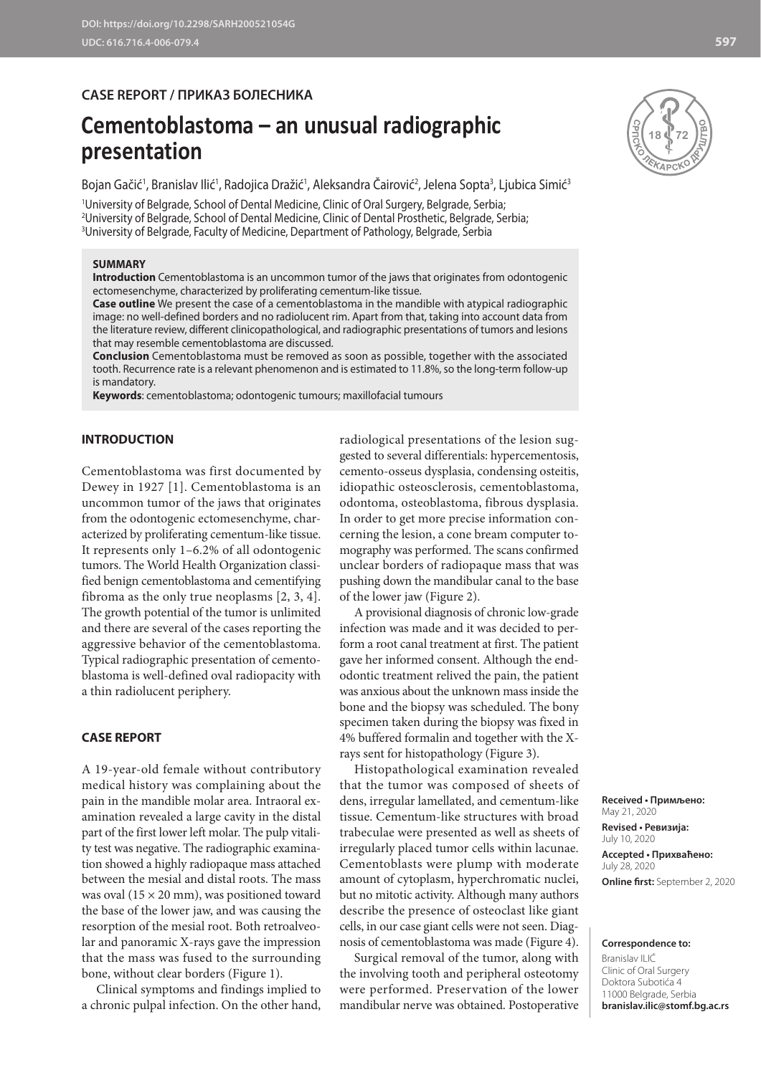### **CASE REPORT / ПРИКАЗ БОЛЕСНИКА**

# **Cementoblastoma – an unusual radiographic presentation**

Bojan Gačić', Branislav Ilić', Radojica Dražić', Aleksandra Cairović<sup>2</sup>, Jelena Sopta<sup>3</sup>, Ljubica Simić<del>'</del>

1 University of Belgrade, School of Dental Medicine, Clinic of Oral Surgery, Belgrade, Serbia; 2 University of Belgrade, School of Dental Medicine, Clinic of Dental Prosthetic, Belgrade, Serbia; 3 University of Belgrade, Faculty of Medicine, Department of Pathology, Belgrade, Serbia

#### **SUMMARY**

**Introduction** Cementoblastoma is an uncommon tumor of the jaws that originates from odontogenic ectomesenchyme, characterized by proliferating cementum-like tissue.

**Case outline** We present the case of a cementoblastoma in the mandible with atypical radiographic image: no well-defined borders and no radiolucent rim. Apart from that, taking into account data from the literature review, different clinicopathological, and radiographic presentations of tumors and lesions that may resemble cementoblastoma are discussed.

**Conclusion** Cementoblastoma must be removed as soon as possible, together with the associated tooth. Recurrence rate is a relevant phenomenon and is estimated to 11.8%, so the long-term follow-up is mandatory.

**Keywords**: cementoblastoma; odontogenic tumours; maxillofacial tumours

#### **INTRODUCTION**

Cementoblastoma was first documented by Dewey in 1927 [1]. Cementoblastoma is an uncommon tumor of the jaws that originates from the odontogenic ectomesenchyme, characterized by proliferating cementum-like tissue. It represents only 1–6.2% of all odontogenic tumors. The World Health Organization classified benign cementoblastoma and cementifying fibroma as the only true neoplasms [2, 3, 4]. The growth potential of the tumor is unlimited and there are several of the cases reporting the aggressive behavior of the cementoblastoma. Typical radiographic presentation of cementoblastoma is well-defined oval radiopacity with a thin radiolucent periphery.

#### **CASE REPORT**

A 19-year-old female without contributory medical history was complaining about the pain in the mandible molar area. Intraoral examination revealed a large cavity in the distal part of the first lower left molar. The pulp vitality test was negative. The radiographic examination showed a highly radiopaque mass attached between the mesial and distal roots. The mass was oval  $(15 \times 20 \text{ mm})$ , was positioned toward the base of the lower jaw, and was causing the resorption of the mesial root. Both retroalveolar and panoramic X-rays gave the impression that the mass was fused to the surrounding bone, without clear borders (Figure 1).

Clinical symptoms and findings implied to a chronic pulpal infection. On the other hand,

radiological presentations of the lesion suggested to several differentials: hypercementosis, cemento-osseus dysplasia, condensing osteitis, idiopathic osteosclerosis, cementoblastoma, odontoma, osteoblastoma, fibrous dysplasia. In order to get more precise information concerning the lesion, a cone bream computer tomography was performed. The scans confirmed unclear borders of radiopaque mass that was pushing down the mandibular canal to the base of the lower jaw (Figure 2).

A provisional diagnosis of chronic low-grade infection was made and it was decided to perform a root canal treatment at first. The patient gave her informed consent. Although the endodontic treatment relived the pain, the patient was anxious about the unknown mass inside the bone and the biopsy was scheduled. The bony specimen taken during the biopsy was fixed in 4% buffered formalin and together with the Xrays sent for histopathology (Figure 3).

Histopathological examination revealed that the tumor was composed of sheets of dens, irregular lamellated, and cementum-like tissue. Cementum-like structures with broad trabeculae were presented as well as sheets of irregularly placed tumor cells within lacunae. Cementoblasts were plump with moderate amount of cytoplasm, hyperchromatic nuclei, but no mitotic activity. Although many authors describe the presence of osteoclast like giant cells, in our case giant cells were not seen. Diagnosis of cementoblastoma was made (Figure 4).

Surgical removal of the tumor, along with the involving tooth and peripheral osteotomy were performed. Preservation of the lower mandibular nerve was obtained. Postoperative

**Received • Примљено:**  May 21, 2020 **Revised • Ревизија:**  July 10, 2020 **Accepted • Прихваћено:** July 28, 2020 **Online first:** September 2, 2020

#### **Correspondence to:**

Branislav ILIĆ Clinic of Oral Surgery Doktora Subotića 4 11000 Belgrade, Serbia **branislav.ilic@stomf.bg.ac.rs**

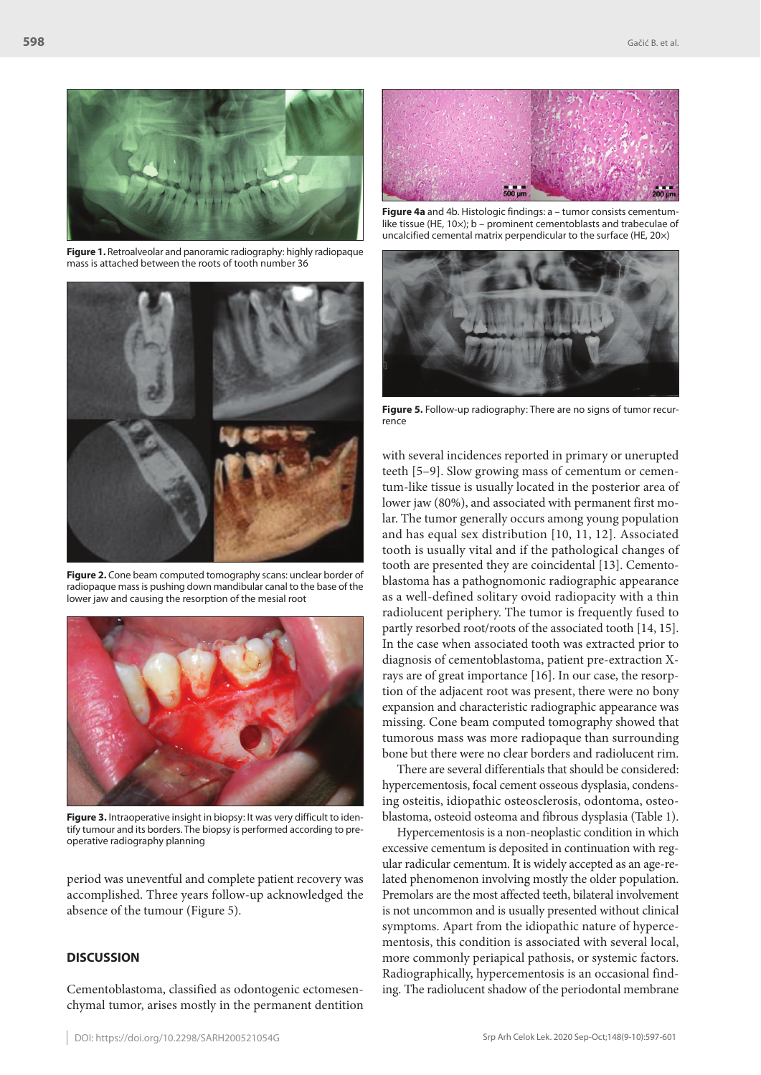

**Figure 1.** Retroalveolar and panoramic radiography: highly radiopaque mass is attached between the roots of tooth number 36



**Figure 2.** Cone beam computed tomography scans: unclear border of radiopaque mass is pushing down mandibular canal to the base of the lower jaw and causing the resorption of the mesial root



**Figure 3.** Intraoperative insight in biopsy: It was very difficult to identify tumour and its borders. The biopsy is performed according to preoperative radiography planning

period was uneventful and complete patient recovery was accomplished. Three years follow-up acknowledged the absence of the tumour (Figure 5).

#### **DISCUSSION**

Cementoblastoma, classified as odontogenic ectomesenchymal tumor, arises mostly in the permanent dentition



**Figure 4a** and 4b. Histologic findings: a – tumor consists cementumlike tissue (HE, 10×); b – prominent cementoblasts and trabeculae of uncalcified cemental matrix perpendicular to the surface (HE, 20×)



**Figure 5.** Follow-up radiography: There are no signs of tumor recurrence

with several incidences reported in primary or unerupted teeth [5–9]. Slow growing mass of cementum or cementum-like tissue is usually located in the posterior area of lower jaw (80%), and associated with permanent first molar. The tumor generally occurs among young population and has equal sex distribution [10, 11, 12]. Associated tooth is usually vital and if the pathological changes of tooth are presented they are coincidental [13]. Cementoblastoma has a pathognomonic radiographic appearance as a well-defined solitary ovoid radiopacity with a thin radiolucent periphery. The tumor is frequently fused to partly resorbed root/roots of the associated tooth [14, 15]. In the case when associated tooth was extracted prior to diagnosis of cementoblastoma, patient pre-extraction Xrays are of great importance [16]. In our case, the resorption of the adjacent root was present, there were no bony expansion and characteristic radiographic appearance was missing. Cone beam computed tomography showed that tumorous mass was more radiopaque than surrounding bone but there were no clear borders and radiolucent rim.

There are several differentials that should be considered: hypercementosis, focal cement osseous dysplasia, condensing osteitis, idiopathic osteosclerosis, odontoma, osteoblastoma, osteoid osteoma and fibrous dysplasia (Table 1).

Hypercementosis is a non-neoplastic condition in which excessive cementum is deposited in continuation with regular radicular cementum. It is widely accepted as an age-related phenomenon involving mostly the older population. Premolars are the most affected teeth, bilateral involvement is not uncommon and is usually presented without clinical symptoms. Apart from the idiopathic nature of hypercementosis, this condition is associated with several local, more commonly periapical pathosis, or systemic factors. Radiographically, hypercementosis is an occasional finding. The radiolucent shadow of the periodontal membrane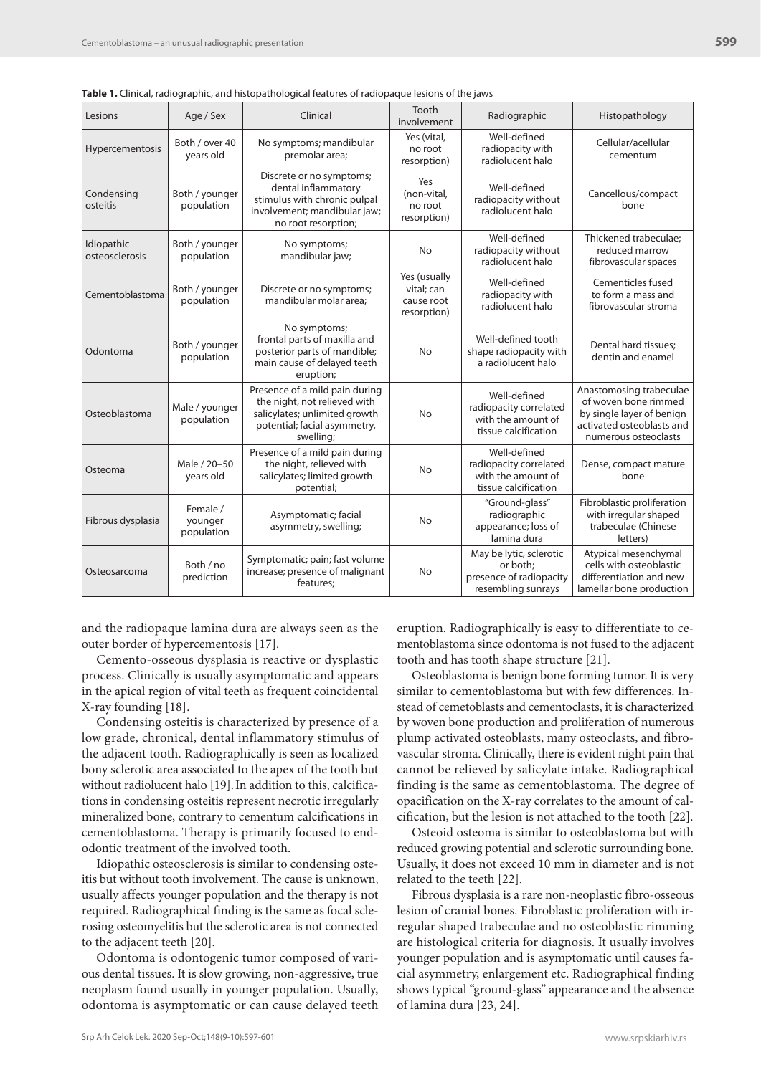| ic is chrittal, radiographic, and motopathological reatures of radiopague resions or the javis |                                   |                                                                                                                                              |                                                         |                                                                                      |                                                                                                                                   |
|------------------------------------------------------------------------------------------------|-----------------------------------|----------------------------------------------------------------------------------------------------------------------------------------------|---------------------------------------------------------|--------------------------------------------------------------------------------------|-----------------------------------------------------------------------------------------------------------------------------------|
| Lesions                                                                                        | Age / Sex                         | Clinical                                                                                                                                     | Tooth<br>involvement                                    | Radiographic                                                                         | Histopathology                                                                                                                    |
| Hypercementosis                                                                                | Both / over 40<br>years old       | No symptoms; mandibular<br>premolar area;                                                                                                    | Yes (vital,<br>no root<br>resorption)                   | Well-defined<br>radiopacity with<br>radiolucent halo                                 | Cellular/acellular<br>cementum                                                                                                    |
| Condensing<br>osteitis                                                                         | Both / younger<br>population      | Discrete or no symptoms;<br>dental inflammatory<br>stimulus with chronic pulpal<br>involvement; mandibular jaw;<br>no root resorption;       | Yes<br>(non-vital,<br>no root<br>resorption)            | Well-defined<br>radiopacity without<br>radiolucent halo                              | Cancellous/compact<br>bone                                                                                                        |
| Idiopathic<br>osteosclerosis                                                                   | Both / younger<br>population      | No symptoms;<br>mandibular jaw;                                                                                                              | No                                                      | Well-defined<br>radiopacity without<br>radiolucent halo                              | Thickened trabeculae;<br>reduced marrow<br>fibrovascular spaces                                                                   |
| Cementoblastoma                                                                                | Both / younger<br>population      | Discrete or no symptoms;<br>mandibular molar area:                                                                                           | Yes (usually<br>vital; can<br>cause root<br>resorption) | Well-defined<br>radiopacity with<br>radiolucent halo                                 | Cementicles fused<br>to form a mass and<br>fibrovascular stroma                                                                   |
| Odontoma                                                                                       | Both / younger<br>population      | No symptoms;<br>frontal parts of maxilla and<br>posterior parts of mandible;<br>main cause of delayed teeth<br>eruption;                     | <b>No</b>                                               | Well-defined tooth<br>shape radiopacity with<br>a radiolucent halo                   | Dental hard tissues;<br>dentin and enamel                                                                                         |
| Osteoblastoma                                                                                  | Male / younger<br>population      | Presence of a mild pain during<br>the night, not relieved with<br>salicylates; unlimited growth<br>potential; facial asymmetry,<br>swelling; | No                                                      | Well-defined<br>radiopacity correlated<br>with the amount of<br>tissue calcification | Anastomosing trabeculae<br>of woven bone rimmed<br>by single layer of benign<br>activated osteoblasts and<br>numerous osteoclasts |
| Osteoma                                                                                        | Male / 20-50<br>years old         | Presence of a mild pain during<br>the night, relieved with<br>salicylates; limited growth<br>potential;                                      | No                                                      | Well-defined<br>radiopacity correlated<br>with the amount of<br>tissue calcification | Dense, compact mature<br>bone                                                                                                     |
| Fibrous dysplasia                                                                              | Female /<br>younger<br>population | Asymptomatic; facial<br>asymmetry, swelling;                                                                                                 | No                                                      | "Ground-glass"<br>radiographic<br>appearance; loss of<br>lamina dura                 | Fibroblastic proliferation<br>with irregular shaped<br>trabeculae (Chinese<br>letters)                                            |
| Osteosarcoma                                                                                   | Both / no<br>prediction           | Symptomatic; pain; fast volume<br>increase; presence of malignant<br>features;                                                               | No                                                      | May be lytic, sclerotic<br>or both:<br>presence of radiopacity<br>resembling sunrays | Atypical mesenchymal<br>cells with osteoblastic<br>differentiation and new<br>lamellar bone production                            |

**Table 1.** Clinical, radiographic, and histopathological features of radiopaque lesions of the jaws

and the radiopaque lamina dura are always seen as the outer border of hypercementosis [17].

Cemento-osseous dysplasia is reactive or dysplastic process. Clinically is usually asymptomatic and appears in the apical region of vital teeth as frequent coincidental X-ray founding [18].

Condensing osteitis is characterized by presence of a low grade, chronical, dental inflammatory stimulus of the adjacent tooth. Radiographically is seen as localized bony sclerotic area associated to the apex of the tooth but without radiolucent halo [19].In addition to this, calcifications in condensing osteitis represent necrotic irregularly mineralized bone, contrary to cementum calcifications in cementoblastoma. Therapy is primarily focused to endodontic treatment of the involved tooth.

Idiopathic osteosclerosis is similar to condensing osteitis but without tooth involvement. The cause is unknown, usually affects younger population and the therapy is not required. Radiographical finding is the same as focal sclerosing osteomyelitis but the sclerotic area is not connected to the adjacent teeth [20].

Odontoma is odontogenic tumor composed of various dental tissues. It is slow growing, non-aggressive, true neoplasm found usually in younger population. Usually, odontoma is asymptomatic or can cause delayed teeth

eruption. Radiographically is easy to differentiate to cementoblastoma since odontoma is not fused to the adjacent tooth and has tooth shape structure [21].

Osteoblastoma is benign bone forming tumor. It is very similar to cementoblastoma but with few differences. Instead of cemetoblasts and cementoclasts, it is characterized by woven bone production and proliferation of numerous plump activated osteoblasts, many osteoclasts, and fibrovascular stroma. Clinically, there is evident night pain that cannot be relieved by salicylate intake. Radiographical finding is the same as cementoblastoma. The degree of opacification on the X-ray correlates to the amount of calcification, but the lesion is not attached to the tooth [22].

Osteoid osteoma is similar to osteoblastoma but with reduced growing potential and sclerotic surrounding bone. Usually, it does not exceed 10 mm in diameter and is not related to the teeth [22].

Fibrous dysplasia is a rare non-neoplastic fibro-osseous lesion of cranial bones. Fibroblastic proliferation with irregular shaped trabeculae and no osteoblastic rimming are histological criteria for diagnosis. It usually involves younger population and is asymptomatic until causes facial asymmetry, enlargement etc. Radiographical finding shows typical "ground-glass" appearance and the absence of lamina dura [23, 24].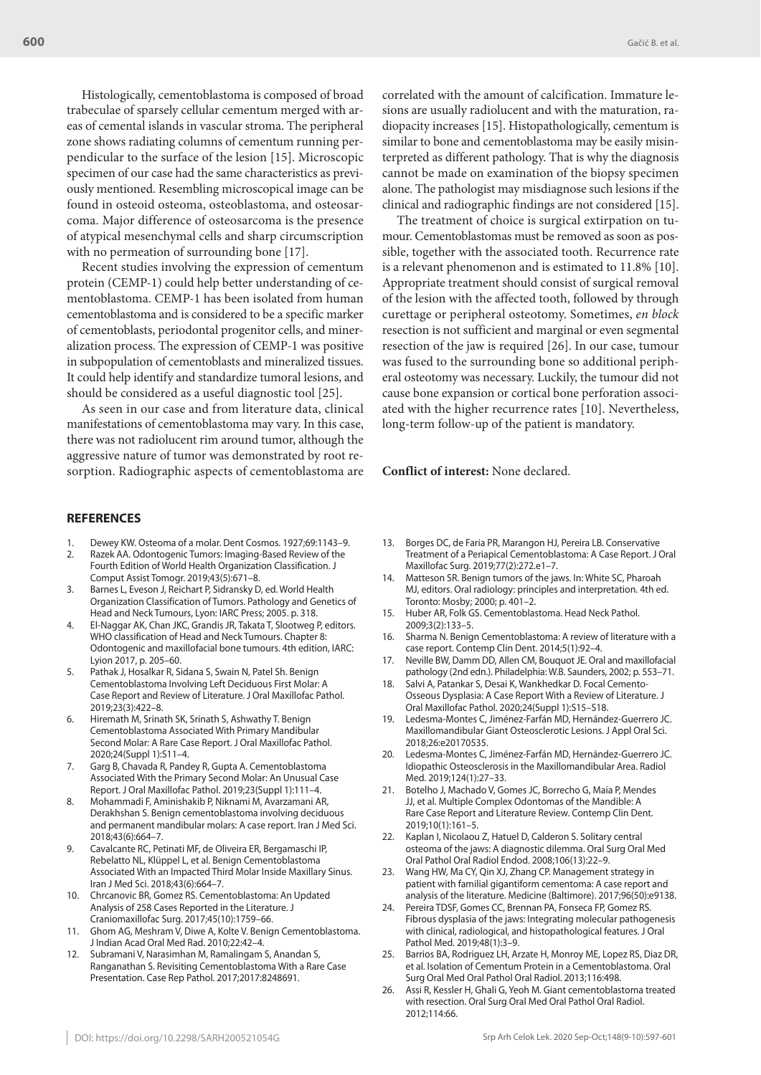Histologically, cementoblastoma is composed of broad trabeculae of sparsely cellular cementum merged with areas of cemental islands in vascular stroma. The peripheral zone shows radiating columns of cementum running perpendicular to the surface of the lesion [15]. Microscopic specimen of our case had the same characteristics as previously mentioned. Resembling microscopical image can be found in osteoid osteoma, osteoblastoma, and osteosarcoma. Major difference of osteosarcoma is the presence of atypical mesenchymal cells and sharp circumscription with no permeation of surrounding bone [17].

Recent studies involving the expression of cementum protein (CEMP-1) could help better understanding of cementoblastoma. CEMP-1 has been isolated from human cementoblastoma and is considered to be a specific marker of cementoblasts, periodontal progenitor cells, and mineralization process. The expression of CEMP-1 was positive in subpopulation of cementoblasts and mineralized tissues. It could help identify and standardize tumoral lesions, and should be considered as a useful diagnostic tool [25].

As seen in our case and from literature data, clinical manifestations of cementoblastoma may vary. In this case, there was not radiolucent rim around tumor, although the aggressive nature of tumor was demonstrated by root resorption. Radiographic aspects of cementoblastoma are correlated with the amount of calcification. Immature lesions are usually radiolucent and with the maturation, radiopacity increases [15]. Histopathologically, cementum is similar to bone and cementoblastoma may be easily misinterpreted as different pathology. That is why the diagnosis cannot be made on examination of the biopsy specimen alone. The pathologist may misdiagnose such lesions if the clinical and radiographic findings are not considered [15].

The treatment of choice is surgical extirpation on tumour. Cementoblastomas must be removed as soon as possible, together with the associated tooth. Recurrence rate is a relevant phenomenon and is estimated to 11.8% [10]. Appropriate treatment should consist of surgical removal of the lesion with the affected tooth, followed by through curettage or peripheral osteotomy. Sometimes, *en block* resection is not sufficient and marginal or even segmental resection of the jaw is required [26]. In our case, tumour was fused to the surrounding bone so additional peripheral osteotomy was necessary. Luckily, the tumour did not cause bone expansion or cortical bone perforation associated with the higher recurrence rates [10]. Nevertheless, long-term follow-up of the patient is mandatory.

#### **Conflict of interest:** None declared.

#### **REFERENCES**

- 1. Dewey KW. Osteoma of a molar. Dent Cosmos. 1927;69:1143–9.
- 2. Razek AA. Odontogenic Tumors: Imaging-Based Review of the Fourth Edition of World Health Organization Classification. J Comput Assist Tomogr. 2019;43(5):671–8.
- 3. Barnes L, Eveson J, Reichart P, Sidransky D, ed. World Health Organization Classification of Tumors. Pathology and Genetics of Head and Neck Tumours, Lyon: IARC Press; 2005. p. 318.
- 4. El-Naggar AK, Chan JKC, Grandis JR, Takata T, Slootweg P, editors. WHO classification of Head and Neck Tumours. Chapter 8: Odontogenic and maxillofacial bone tumours. 4th edition, IARC: Lyion 2017, p. 205–60.
- 5. Pathak J, Hosalkar R, Sidana S, Swain N, Patel Sh. Benign Cementoblastoma Involving Left Deciduous First Molar: A Case Report and Review of Literature. J Oral Maxillofac Pathol. 2019;23(3):422–8.
- Hiremath M, Srinath SK, Srinath S, Ashwathy T. Benign Cementoblastoma Associated With Primary Mandibular Second Molar: A Rare Case Report. J Oral Maxillofac Pathol. 2020;24(Suppl 1):S11–4.
- 7. Garg B, Chavada R, Pandey R, Gupta A. Cementoblastoma Associated With the Primary Second Molar: An Unusual Case Report. J Oral Maxillofac Pathol. 2019;23(Suppl 1):111–4.
- 8. Mohammadi F, Aminishakib P, Niknami M, Avarzamani AR, Derakhshan S. Benign cementoblastoma involving deciduous and permanent mandibular molars: A case report. Iran J Med Sci. 2018;43(6):664–7.
- 9. Cavalcante RC, Petinati MF, de Oliveira ER, Bergamaschi IP, Rebelatto NL, Klüppel L, et al. Benign Cementoblastoma Associated With an Impacted Third Molar Inside Maxillary Sinus. Iran J Med Sci. 2018;43(6):664–7.
- 10. Chrcanovic BR, Gomez RS. Cementoblastoma: An Updated Analysis of 258 Cases Reported in the Literature. J Craniomaxillofac Surg. 2017;45(10):1759–66.
- 11. Ghom AG, Meshram V, Diwe A, Kolte V. Benign Cementoblastoma. J Indian Acad Oral Med Rad. 2010;22:42–4.
- 12. Subramani V, Narasimhan M, Ramalingam S, Anandan S, Ranganathan S. Revisiting Cementoblastoma With a Rare Case Presentation. Case Rep Pathol. 2017;2017:8248691.
- 13. Borges DC, de Faria PR, Marangon HJ, Pereira LB. Conservative Treatment of a Periapical Cementoblastoma: A Case Report. J Oral Maxillofac Surg. 2019;77(2):272.e1–7.
- 14. Matteson SR. Benign tumors of the jaws. In: White SC, Pharoah MJ, editors. Oral radiology: principles and interpretation. 4th ed. Toronto: Mosby; 2000; p. 401–2.
- 15. Huber AR, Folk GS. Cementoblastoma. Head Neck Pathol. 2009;3(2):133–5.
- 16. Sharma N. Benign Cementoblastoma: A review of literature with a case report. Contemp Clin Dent. 2014;5(1):92–4.
- 17. Neville BW, Damm DD, Allen CM, Bouquot JE. Oral and maxillofacial pathology (2nd edn.). Philadelphia: W.B. Saunders, 2002; p. 553–71.
- Salvi A, Patankar S, Desai K, Wankhedkar D. Focal Cemento-Osseous Dysplasia: A Case Report With a Review of Literature. J Oral Maxillofac Pathol. 2020;24(Suppl 1):S15–S18.
- 19. Ledesma-Montes C, Jiménez-Farfán MD, Hernández-Guerrero JC. Maxillomandibular Giant Osteosclerotic Lesions. J Appl Oral Sci. 2018;26:e20170535.
- 20. Ledesma-Montes C, Jiménez-Farfán MD, Hernández-Guerrero JC. Idiopathic Osteosclerosis in the Maxillomandibular Area. Radiol Med. 2019;124(1):27–33.
- 21. Botelho J, Machado V, Gomes JC, Borrecho G, Maia P, Mendes JJ, et al. Multiple Complex Odontomas of the Mandible: A Rare Case Report and Literature Review. Contemp Clin Dent. 2019;10(1):161–5.
- 22. Kaplan I, Nicolaou Z, Hatuel D, Calderon S. Solitary central osteoma of the jaws: A diagnostic dilemma. Oral Surg Oral Med Oral Pathol Oral Radiol Endod. 2008;106(13):22–9.
- 23. Wang HW, Ma CY, Qin XJ, Zhang CP. Management strategy in patient with familial gigantiform cementoma: A case report and analysis of the literature. Medicine (Baltimore). 2017;96(50):e9138.
- 24. Pereira TDSF, Gomes CC, Brennan PA, Fonseca FP, Gomez RS. Fibrous dysplasia of the jaws: Integrating molecular pathogenesis with clinical, radiological, and histopathological features. J Oral Pathol Med. 2019;48(1):3–9.
- 25. Barrios BA, Rodriguez LH, Arzate H, Monroy ME, Lopez RS, Diaz DR, et al. Isolation of Cementum Protein in a Cementoblastoma. Oral Surg Oral Med Oral Pathol Oral Radiol. 2013;116:498.
- 26. Assi R, Kessler H, Ghali G, Yeoh M. Giant cementoblastoma treated with resection. Oral Surg Oral Med Oral Pathol Oral Radiol. 2012;114:66.